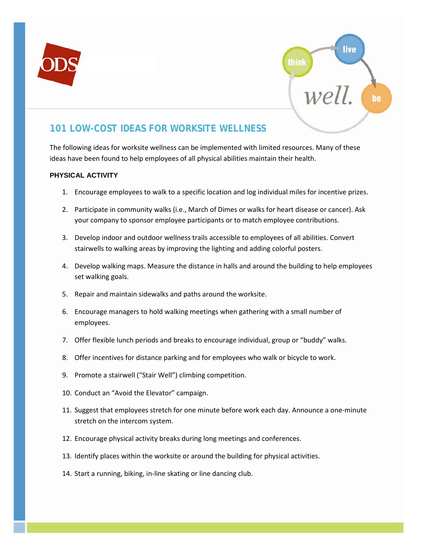



# **101 LOW-COST IDEAS FOR WORKSITE WELLNESS**

The following ideas for worksite wellness can be implemented with limited resources. Many of these ideas have been found to help employees of all physical abilities maintain their health.

# **PHYSICAL ACTIVITY**

- 1. Encourage employees to walk to a specific location and log individual miles for incentive prizes.
- 2. Participate in community walks (i.e., March of Dimes or walks for heart disease or cancer). Ask your company to sponsor employee participants or to match employee contributions.
- 3. Develop indoor and outdoor wellness trails accessible to employees of all abilities. Convert stairwells to walking areas by improving the lighting and adding colorful posters.
- 4. Develop walking maps. Measure the distance in halls and around the building to help employees set walking goals.
- 5. Repair and maintain sidewalks and paths around the worksite.
- 6. Encourage managers to hold walking meetings when gathering with a small number of employees.
- 7. Offer flexible lunch periods and breaks to encourage individual, group or "buddy" walks.
- 8. Offer incentives for distance parking and for employees who walk or bicycle to work.
- 9. Promote a stairwell ("Stair Well") climbing competition.
- 10. Conduct an "Avoid the Elevator" campaign.
- 11. Suggest that employees stretch for one minute before work each day. Announce a one-minute stretch on the intercom system.
- 12. Encourage physical activity breaks during long meetings and conferences.
- 13. Identify places within the worksite or around the building for physical activities.
- 14. Start a running, biking, in-line skating or line dancing club.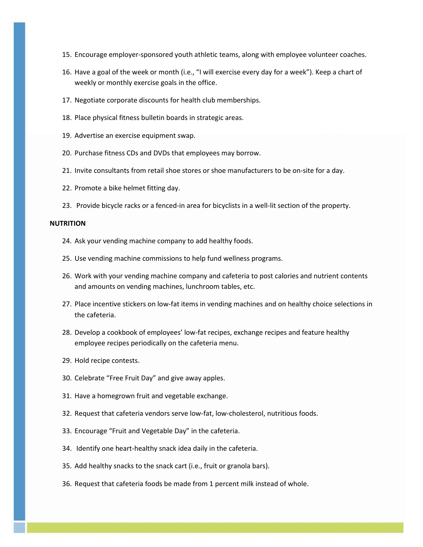- 15. Encourage employer-sponsored youth athletic teams, along with employee volunteer coaches.
- 16. Have a goal of the week or month (i.e., "I will exercise every day for a week"). Keep a chart of weekly or monthly exercise goals in the office.
- 17. Negotiate corporate discounts for health club memberships.
- 18. Place physical fitness bulletin boards in strategic areas.
- 19. Advertise an exercise equipment swap.
- 20. Purchase fitness CDs and DVDs that employees may borrow.
- 21. Invite consultants from retail shoe stores or shoe manufacturers to be on-site for a day.
- 22. Promote a bike helmet fitting day.
- 23. Provide bicycle racks or a fenced-in area for bicyclists in a well-lit section of the property.

#### **NUTRITION**

- 24. Ask your vending machine company to add healthy foods.
- 25. Use vending machine commissions to help fund wellness programs.
- 26. Work with your vending machine company and cafeteria to post calories and nutrient contents and amounts on vending machines, lunchroom tables, etc.
- 27. Place incentive stickers on low-fat items in vending machines and on healthy choice selections in the cafeteria.
- 28. Develop a cookbook of employees' low-fat recipes, exchange recipes and feature healthy employee recipes periodically on the cafeteria menu.
- 29. Hold recipe contests.
- 30. Celebrate "Free Fruit Day" and give away apples.
- 31. Have a homegrown fruit and vegetable exchange.
- 32. Request that cafeteria vendors serve low-fat, low-cholesterol, nutritious foods.
- 33. Encourage "Fruit and Vegetable Day" in the cafeteria.
- 34. Identify one heart-healthy snack idea daily in the cafeteria.
- 35. Add healthy snacks to the snack cart (i.e., fruit or granola bars).
- 36. Request that cafeteria foods be made from 1 percent milk instead of whole.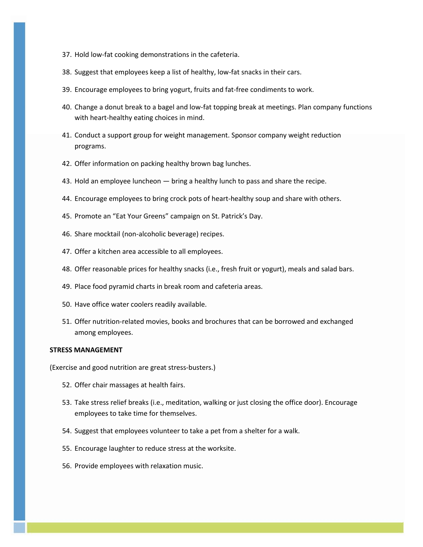- 37. Hold low-fat cooking demonstrations in the cafeteria.
- 38. Suggest that employees keep a list of healthy, low-fat snacks in their cars.
- 39. Encourage employees to bring yogurt, fruits and fat-free condiments to work.
- 40. Change a donut break to a bagel and low-fat topping break at meetings. Plan company functions with heart-healthy eating choices in mind.
- 41. Conduct a support group for weight management. Sponsor company weight reduction programs.
- 42. Offer information on packing healthy brown bag lunches.
- 43. Hold an employee luncheon bring a healthy lunch to pass and share the recipe.
- 44. Encourage employees to bring crock pots of heart-healthy soup and share with others.
- 45. Promote an "Eat Your Greens" campaign on St. Patrick's Day.
- 46. Share mocktail (non-alcoholic beverage) recipes.
- 47. Offer a kitchen area accessible to all employees.
- 48. Offer reasonable prices for healthy snacks (i.e., fresh fruit or yogurt), meals and salad bars.
- 49. Place food pyramid charts in break room and cafeteria areas.
- 50. Have office water coolers readily available.
- 51. Offer nutrition-related movies, books and brochures that can be borrowed and exchanged among employees.

### **STRESS MANAGEMENT**

(Exercise and good nutrition are great stress-busters.)

- 52. Offer chair massages at health fairs.
- 53. Take stress relief breaks (i.e., meditation, walking or just closing the office door). Encourage employees to take time for themselves.
- 54. Suggest that employees volunteer to take a pet from a shelter for a walk.
- 55. Encourage laughter to reduce stress at the worksite.
- 56. Provide employees with relaxation music.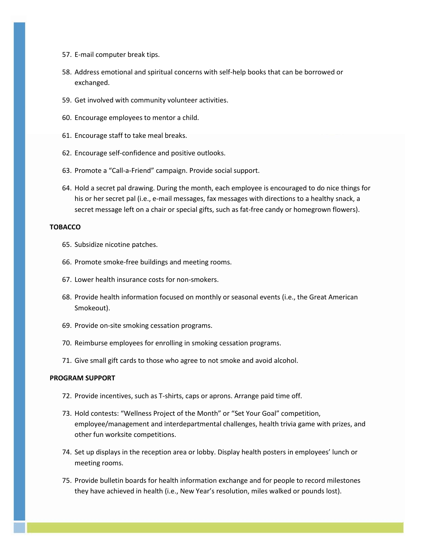- 57. E-mail computer break tips.
- 58. Address emotional and spiritual concerns with self-help books that can be borrowed or exchanged.
- 59. Get involved with community volunteer activities.
- 60. Encourage employees to mentor a child.
- 61. Encourage staff to take meal breaks.
- 62. Encourage self-confidence and positive outlooks.
- 63. Promote a "Call-a-Friend" campaign. Provide social support.
- 64. Hold a secret pal drawing. During the month, each employee is encouraged to do nice things for his or her secret pal (i.e., e-mail messages, fax messages with directions to a healthy snack, a secret message left on a chair or special gifts, such as fat-free candy or homegrown flowers).

#### **TOBACCO**

- 65. Subsidize nicotine patches.
- 66. Promote smoke-free buildings and meeting rooms.
- 67. Lower health insurance costs for non-smokers.
- 68. Provide health information focused on monthly or seasonal events (i.e., the Great American Smokeout).
- 69. Provide on-site smoking cessation programs.
- 70. Reimburse employees for enrolling in smoking cessation programs.
- 71. Give small gift cards to those who agree to not smoke and avoid alcohol.

## **PROGRAM SUPPORT**

- 72. Provide incentives, such as T-shirts, caps or aprons. Arrange paid time off.
- 73. Hold contests: "Wellness Project of the Month" or "Set Your Goal" competition, employee/management and interdepartmental challenges, health trivia game with prizes, and other fun worksite competitions.
- 74. Set up displays in the reception area or lobby. Display health posters in employees' lunch or meeting rooms.
- 75. Provide bulletin boards for health information exchange and for people to record milestones they have achieved in health (i.e., New Year's resolution, miles walked or pounds lost).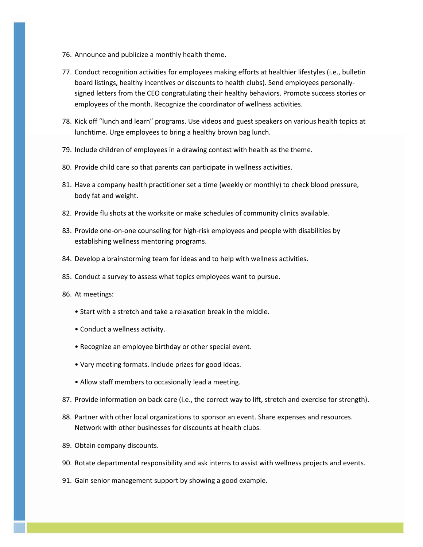- 76. Announce and publicize a monthly health theme.
- 77. Conduct recognition activities for employees making efforts at healthier lifestyles (i.e., bulletin board listings, healthy incentives or discounts to health clubs). Send employees personallysigned letters from the CEO congratulating their healthy behaviors. Promote success stories or employees of the month. Recognize the coordinator of wellness activities.
- 78. Kick off "lunch and learn" programs. Use videos and guest speakers on various health topics at lunchtime. Urge employees to bring a healthy brown bag lunch.
- 79. Include children of employees in a drawing contest with health as the theme.
- 80. Provide child care so that parents can participate in wellness activities.
- 81. Have a company health practitioner set a time (weekly or monthly) to check blood pressure, body fat and weight.
- 82. Provide flu shots at the worksite or make schedules of community clinics available.
- 83. Provide one-on-one counseling for high-risk employees and people with disabilities by establishing wellness mentoring programs.
- 84. Develop a brainstorming team for ideas and to help with wellness activities.
- 85. Conduct a survey to assess what topics employees want to pursue.
- 86. At meetings:
	- Start with a stretch and take a relaxation break in the middle.
	- Conduct a wellness activity.
	- Recognize an employee birthday or other special event.
	- Vary meeting formats. Include prizes for good ideas.
	- Allow staff members to occasionally lead a meeting.
- 87. Provide information on back care (i.e., the correct way to lift, stretch and exercise for strength).
- 88. Partner with other local organizations to sponsor an event. Share expenses and resources. Network with other businesses for discounts at health clubs.
- 89. Obtain company discounts.
- 90. Rotate departmental responsibility and ask interns to assist with wellness projects and events.
- 91. Gain senior management support by showing a good example.